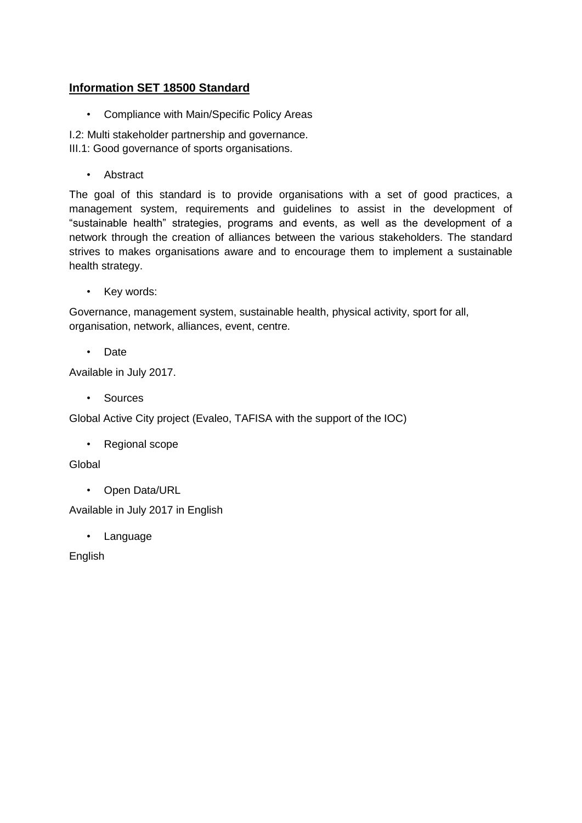## **Information SET 18500 Standard**

• Compliance with Main/Specific Policy Areas

I.2: Multi stakeholder partnership and governance. III.1: Good governance of sports organisations.

• Abstract

The goal of this standard is to provide organisations with a set of good practices, a management system, requirements and guidelines to assist in the development of "sustainable health" strategies, programs and events, as well as the development of a network through the creation of alliances between the various stakeholders. The standard strives to makes organisations aware and to encourage them to implement a sustainable health strategy.

• Key words:

Governance, management system, sustainable health, physical activity, sport for all, organisation, network, alliances, event, centre.

• Date

Available in July 2017.

• Sources

Global Active City project (Evaleo, TAFISA with the support of the IOC)

• Regional scope

**Global** 

• Open Data/URL

Available in July 2017 in English

• Language

English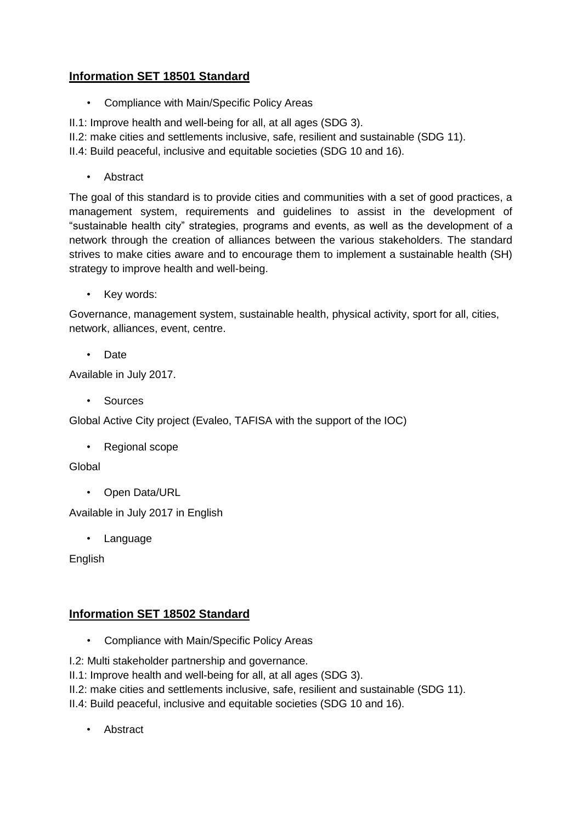## **Information SET 18501 Standard**

• Compliance with Main/Specific Policy Areas

II.1: Improve health and well-being for all, at all ages (SDG 3).

II.2: make cities and settlements inclusive, safe, resilient and sustainable (SDG 11).

II.4: Build peaceful, inclusive and equitable societies (SDG 10 and 16).

• Abstract

The goal of this standard is to provide cities and communities with a set of good practices, a management system, requirements and guidelines to assist in the development of "sustainable health city" strategies, programs and events, as well as the development of a network through the creation of alliances between the various stakeholders. The standard strives to make cities aware and to encourage them to implement a sustainable health (SH) strategy to improve health and well-being.

• Key words:

Governance, management system, sustainable health, physical activity, sport for all, cities, network, alliances, event, centre.

• Date

Available in July 2017.

• Sources

Global Active City project (Evaleo, TAFISA with the support of the IOC)

• Regional scope

## Global

• Open Data/URL

Available in July 2017 in English

• Language

English

## **Information SET 18502 Standard**

• Compliance with Main/Specific Policy Areas

I.2: Multi stakeholder partnership and governance.

- II.1: Improve health and well-being for all, at all ages (SDG 3).
- II.2: make cities and settlements inclusive, safe, resilient and sustainable (SDG 11).

II.4: Build peaceful, inclusive and equitable societies (SDG 10 and 16).

• Abstract